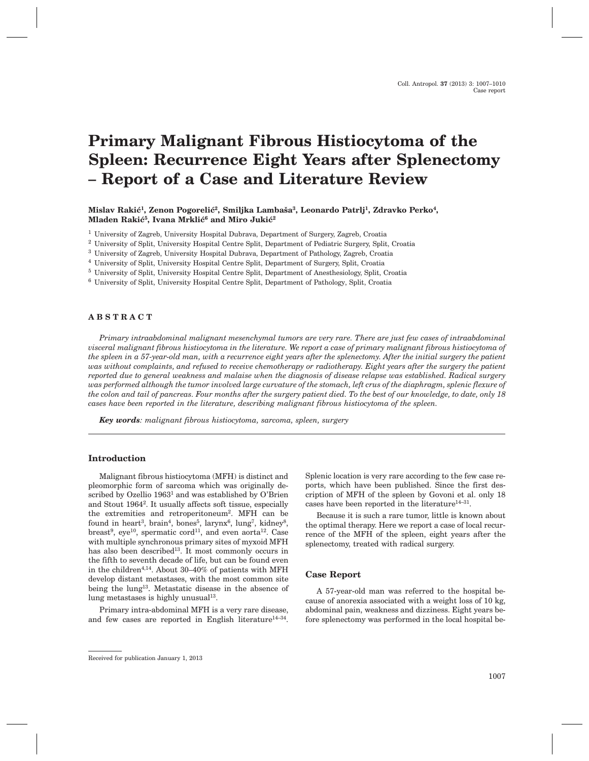# **Primary Malignant Fibrous Histiocytoma of the Spleen: Recurrence Eight Years after Splenectomy – Report of a Case and Literature Review**

**Mislav Raki}1, Zenon Pogoreli}2, Smiljka Lamba{a3, Leonardo Patrlj1, Zdravko Perko4,** Mladen Rakić<sup>5</sup>, Ivana Mrklić<sup>6</sup> and Miro Jukić<sup>2</sup>

- <sup>1</sup> University of Zagreb, University Hospital Dubrava, Department of Surgery, Zagreb, Croatia
- <sup>2</sup> University of Split, University Hospital Centre Split, Department of Pediatric Surgery, Split, Croatia
- <sup>3</sup> University of Zagreb, University Hospital Dubrava, Department of Pathology, Zagreb, Croatia
- <sup>4</sup> University of Split, University Hospital Centre Split, Department of Surgery, Split, Croatia
- <sup>5</sup> University of Split, University Hospital Centre Split, Department of Anesthesiology, Split, Croatia
- <sup>6</sup> University of Split, University Hospital Centre Split, Department of Pathology, Split, Croatia

## **ABSTRACT**

*Primary intraabdominal malignant mesenchymal tumors are very rare. There are just few cases of intraabdominal visceral malignant fibrous histiocytoma in the literature. We report a case of primary malignant fibrous histiocytoma of the spleen in a 57-year-old man, with a recurrence eight years after the splenectomy. After the initial surgery the patient was without complaints, and refused to receive chemotherapy or radiotherapy. Eight years after the surgery the patient reported due to general weakness and malaise when the diagnosis of disease relapse was established. Radical surgery was performed although the tumor involved large curvature of the stomach, left crus of the diaphragm, splenic flexure of the colon and tail of pancreas. Four months after the surgery patient died. To the best of our knowledge, to date, only 18 cases have been reported in the literature, describing malignant fibrous histiocytoma of the spleen.*

*Key words: malignant fibrous histiocytoma, sarcoma, spleen, surgery*

#### **Introduction**

Malignant fibrous histiocytoma (MFH) is distinct and pleomorphic form of sarcoma which was originally described by Ozellio 1963<sup>1</sup> and was established by O'Brien and Stout 19642. It usually affects soft tissue, especially the extremities and retroperitoneum2. MFH can be found in heart<sup>3</sup>, brain<sup>4</sup>, bones<sup>5</sup>, larynx<sup>6</sup>, lung<sup>7</sup>, kidney<sup>8</sup>, breast<sup>9</sup>, eye<sup>10</sup>, spermatic cord<sup>11</sup>, and even aorta<sup>12</sup>. Case with multiple synchronous primary sites of myxoid MFH has also been described<sup>13</sup>. It most commonly occurs in the fifth to seventh decade of life, but can be found even in the children<sup>4,14</sup>. About  $30-40\%$  of patients with MFH develop distant metastases, with the most common site being the lung<sup>13</sup>. Metastatic disease in the absence of lung metastases is highly unusual $13$ .

Primary intra-abdominal MFH is a very rare disease, and few cases are reported in English literature<sup>14-34</sup>.

Splenic location is very rare according to the few case reports, which have been published. Since the first description of MFH of the spleen by Govoni et al. only 18 cases have been reported in the literature<sup>14–31</sup>.

Because it is such a rare tumor, little is known about the optimal therapy. Here we report a case of local recurrence of the MFH of the spleen, eight years after the splenectomy, treated with radical surgery.

#### **Case Report**

A 57-year-old man was referred to the hospital because of anorexia associated with a weight loss of 10 kg, abdominal pain, weakness and dizziness. Eight years before splenectomy was performed in the local hospital be-

Received for publication January 1, 2013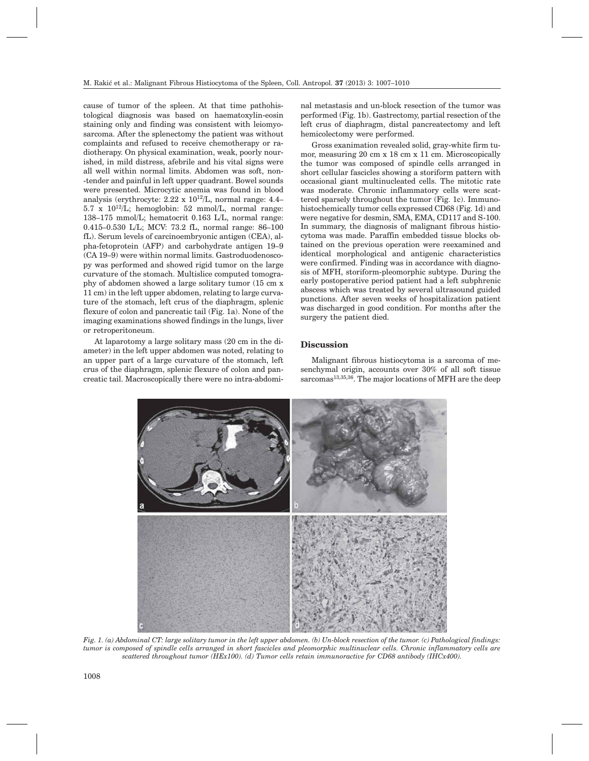cause of tumor of the spleen. At that time pathohistological diagnosis was based on haematoxylin-eosin staining only and finding was consistent with leiomyosarcoma. After the splenectomy the patient was without complaints and refused to receive chemotherapy or radiotherapy. On physical examination, weak, poorly nourished, in mild distress, afebrile and his vital signs were all well within normal limits. Abdomen was soft, non- -tender and painful in left upper quadrant. Bowel sounds were presented. Microcytic anemia was found in blood analysis (erythrocyte:  $2.22 \times 10^{12}$ /L, normal range:  $4.4-$ 5.7 x  $10^{12}$ /L; hemoglobin: 52 mmol/L, normal range: 138–175 mmol/L; hematocrit 0.163 L/L, normal range: 0.415–0.530 L/L; MCV: 73.2 fL, normal range: 86–100 fL). Serum levels of carcinoembryonic antigen (CEA), alpha-fetoprotein (AFP) and carbohydrate antigen 19–9 (CA 19–9) were within normal limits. Gastroduodenoscopy was performed and showed rigid tumor on the large curvature of the stomach. Multislice computed tomography of abdomen showed a large solitary tumor (15 cm x 11 cm) in the left upper abdomen, relating to large curvature of the stomach, left crus of the diaphragm, splenic flexure of colon and pancreatic tail (Fig. 1a). None of the imaging examinations showed findings in the lungs, liver or retroperitoneum.

At laparotomy a large solitary mass (20 cm in the diameter) in the left upper abdomen was noted, relating to an upper part of a large curvature of the stomach, left crus of the diaphragm, splenic flexure of colon and pancreatic tail. Macroscopically there were no intra-abdomi-

nal metastasis and un-block resection of the tumor was performed (Fig. 1b). Gastrectomy, partial resection of the left crus of diaphragm, distal pancreatectomy and left hemicolectomy were performed.

Gross exanimation revealed solid, gray-white firm tumor, measuring 20 cm x 18 cm x 11 cm. Microscopically the tumor was composed of spindle cells arranged in short cellular fascicles showing a storiform pattern with occasional giant multinucleated cells. The mitotic rate was moderate. Chronic inflammatory cells were scattered sparsely throughout the tumor (Fig. 1c). Immunohistochemically tumor cells expressed CD68 (Fig. 1d) and were negative for desmin, SMA, EMA, CD117 and S-100. In summary, the diagnosis of malignant fibrous histiocytoma was made. Paraffin embedded tissue blocks obtained on the previous operation were reexamined and identical morphological and antigenic characteristics were confirmed. Finding was in accordance with diagnosis of MFH, storiform-pleomorphic subtype. During the early postoperative period patient had a left subphrenic abscess which was treated by several ultrasound guided punctions. After seven weeks of hospitalization patient was discharged in good condition. For months after the surgery the patient died.

## **Discussion**

Malignant fibrous histiocytoma is a sarcoma of mesenchymal origin, accounts over 30% of all soft tissue sarcomas<sup>13,35,36</sup>. The major locations of MFH are the deep



*Fig. 1. (a) Abdominal CT: large solitary tumor in the left upper abdomen. (b) Un-block resection of the tumor. (c) Pathological findings: tumor is composed of spindle cells arranged in short fascicles and pleomorphic multinuclear cells. Chronic inflammatory cells are scattered throughout tumor (HEx100). (d) Tumor cells retain immunoractive for CD68 antibody (IHCx400).*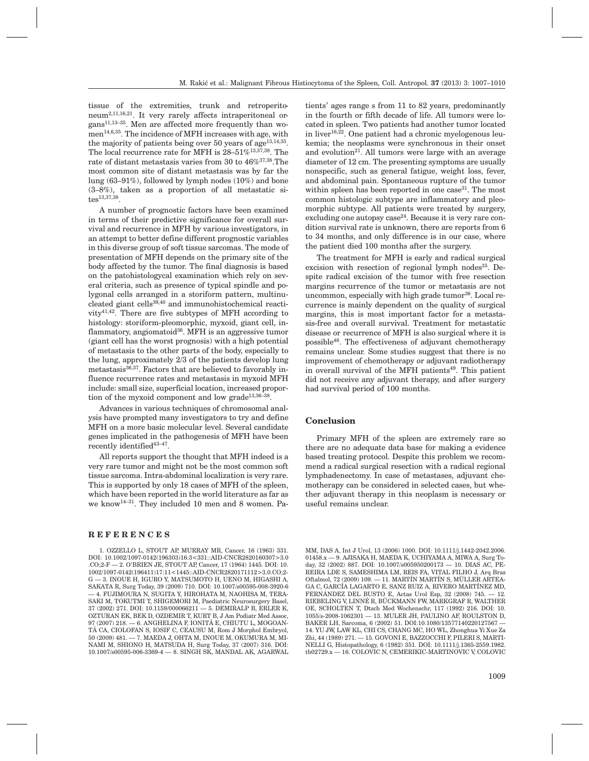tissue of the extremities, trunk and retroperitoneum2,11,16,21. It very rarely affects intraperitoneal organs11,13–35. Men are affected more frequently than women<sup>14,6,35</sup>. The incidence of MFH increases with age, with the majority of patients being over 50 years of  $age^{13,14,35}$ . The local recurrence rate for MFH is 28-51%<sup>13,37,38</sup>. The rate of distant metastasis varies from 30 to 46%37,38.The most common site of distant metastasis was by far the lung (63–91%), followed by lymph nodes (10%) and bone (3–8%), taken as a proportion of all metastatic sites13,37,38.

A number of prognostic factors have been examined in terms of their predictive significance for overall survival and recurrence in MFH by various investigators, in an attempt to better define different prognostic variables in this diverse group of soft tissue sarcomas. The mode of presentation of MFH depends on the primary site of the body affected by the tumor. The final diagnosis is based on the patohistologycal examination which rely on several criteria, such as presence of typical spindle and polygonal cells arranged in a storiform pattern, multinucleated giant cells<sup>39,40</sup> and immunohistochemical reactivity41,42. There are five subtypes of MFH according to histology: storiform-pleomorphic, myxoid, giant cell, inflammatory, angiomatoid<sup>36</sup>. MFH is an aggressive tumor (giant cell has the worst prognosis) with a high potential of metastasis to the other parts of the body, especially to the lung, approximately 2/3 of the patients develop lung metastasis36,37. Factors that are believed to favorably influence recurrence rates and metastasis in myxoid MFH include: small size, superficial location, increased proportion of the myxoid component and low grade<sup>13,36-38</sup>.

Advances in various techniques of chromosomal analysis have prompted many investigators to try and define MFH on a more basic molecular level. Several candidate genes implicated in the pathogenesis of MFH have been recently identified<sup>43-47</sup>.

All reports support the thought that MFH indeed is a very rare tumor and might not be the most common soft tissue sarcoma. Intra-abdominal localization is very rare. This is supported by only 18 cases of MFH of the spleen, which have been reported in the world literature as far as we know14–31. They included 10 men and 8 women. Pa-

## **REFERENCES**

1. OZZELLO L, STOUT AP, MURRAY MR, Cancer, 16 (1963) 331. DOI: 10.1002/1097-0142(196303)16:3<331::AID-CNCR2820160307>3.0 .CO;2-F — 2. O'BRIEN JE, STOUT AP, Cancer, 17 (1964) 1445. DOI: 10. 1002/1097-0142(196411)17:11<1445::AID-CNCR2820171112>3.0.CO;2- G — 3. INOUE H, IGURO Y, MATSUMOTO H, UENO M, HIGASHI A, SAKATA R, Surg Today, 39 (2009) 710. DOI: 10.1007/s00595-008-3920-6 — 4. FUJIMOURA N, SUGITA Y, HIROHATA M, NAOHISA M, TERA-SAKI M, TOKUTMI T, SHIGEMORI M, Paediatric Neurosurgery Basel, 37 (2002) 271. DOI: 10.1159/000066211 — 5. DEMIRALP B, ERLER K, OZTURAN EK, BEK D, OZDEMIR T, KURT B, J Am Podiatr Med Assoc, 97 (2007) 218. — 6. ANGHELINA F, IONITÃ E, CHIUTU L, MOGOAN-TÃ CA, CIOLOFAN S, IOSIF C, CEAUSU M, Rom J Morphol Embryol, 50 (2009) 481. — 7. MAEDA J, OHTA M, INOUE M, OKUMURA M, MI-NAMI M, SHIONO H, MATSUDA H, Surg Today, 37 (2007) 316. DOI: 10.1007/s00595-006-3369-4 — 8. SINGH SK, MANDAL AK, AGARWAL tients' ages range s from 11 to 82 years, predominantly in the fourth or fifth decade of life. All tumors were located in spleen. Two patients had another tumor located in liver<sup>16,22</sup>. One patient had a chronic myelogenous leukemia; the neoplasms were synchronous in their onset and evolution<sup>21</sup>. All tumors were large with an average diameter of 12 cm. The presenting symptoms are usually nonspecific, such as general fatigue, weight loss, fever, and abdominal pain. Spontaneous rupture of the tumor within spleen has been reported in one case  $31$ . The most common histologic subtype are inflammatory and pleomorphic subtype. All patients were treated by surgery, excluding one autopsy  $case^{24}$ . Because it is very rare condition survival rate is unknown, there are reports from 6 to 34 months, and only difference is in our case, where the patient died 100 months after the surgery.

The treatment for MFH is early and radical surgical excision with resection of regional lymph nodes $35$ . Despite radical excision of the tumor with free resection margins recurrence of the tumor or metastasis are not uncommon, especially with high grade tumor<sup>36</sup>. Local recurrence is mainly dependent on the quality of surgical margins, this is most important factor for a metastasis-free and overall survival. Treatment for metastatic disease or recurrence of MFH is also surgical where it is possible48. The effectiveness of adjuvant chemotherapy remains unclear. Some studies suggest that there is no improvement of chemotherapy or adjuvant radiotherapy in overall survival of the MFH patients<sup>49</sup>. This patient did not receive any adjuvant therapy, and after surgery had survival period of 100 months.

#### **Conclusion**

Primary MFH of the spleen are extremely rare so there are no adequate data base for making a evidence based treating protocol. Despite this problem we recommend a radical surgical resection with a radical regional lymphadenectomy. In case of metastases, adjuvant chemotherapy can be considered in selected cases, but whether adjuvant therapy in this neoplasm is necessary or useful remains unclear.

MM, DAS A, Int J Urol, 13 (2006) 1000. DOI: 10.1111/j.1442-2042.2006. 01458.x — 9. AJISAKA H, MAEDA K, UCHIYAMA A, MIWA A, Surg Today, 32 (2002) 887. DOI: 10.1007/s005950200173 — 10. DIAS AC, PE-REIRA LDE S, SAMESHIMA LM, REIS FA, VITAL FILHO J, Arq Bras Oftalmol, 72 (2009) 109. — 11. MARTÍN MARTÍN S, MÜLLER ARTEA-GA C, GARCÍA LAGARTO E, SANZ RUIZ A, RIVERO MARTÍNEZ MD, FERNÁNDEZ DEL BUSTO E, Actas Urol Esp, 32 (2008) 745. — 12. RIEBELING V, LINNÉ R, BÜCKMANN FW, MARKGRAF R, WALTHER OE, SCHOLTEN T, Dtsch Med Wochenschr, 117 (1992) 216. DOI: 10. 1055/s-2008-1062301 — 13. MULER JH, PAULINO AF, ROULSTON D, BAKER LH, Sarcoma, 6 (2002) 51. DOI:10.1080/13577140220127567 — 14. YU JW, LAW KL, CHI CS, CHANG MC, HO WL, Zhonghua Yi Xue Za Zhi, 44 (1989) 271. — 15. GOVONI E, BAZZOCCHI F, PILERI S, MARTI-NELLI G, Histopathology, 6 (1982) 351. DOI: 10.1111/j.1365-2559.1982. tb02729.x — 16. COLOVIC N, CEMERIKIC-MARTINOVIC V, COLOVIC